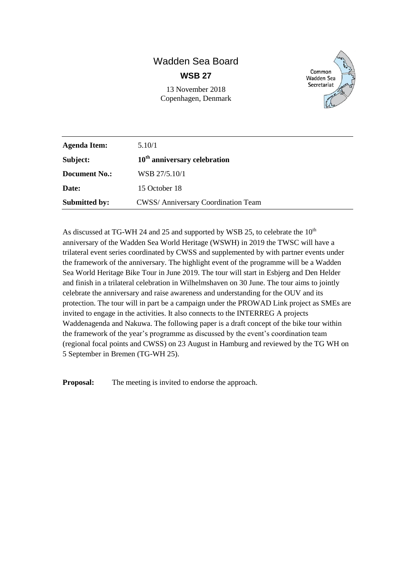# Wadden Sea Board **WSB 27**

13 November 2018 Copenhagen, Denmark



| <b>Agenda Item:</b>  | 5.10/1                                    |
|----------------------|-------------------------------------------|
| Subject:             | $10th$ anniversary celebration            |
| <b>Document No.:</b> | WSB 27/5.10/1                             |
| Date:                | 15 October 18                             |
| <b>Submitted by:</b> | <b>CWSS/Anniversary Coordination Team</b> |

As discussed at TG-WH 24 and 25 and supported by WSB 25, to celebrate the  $10^{th}$ anniversary of the Wadden Sea World Heritage (WSWH) in 2019 the TWSC will have a trilateral event series coordinated by CWSS and supplemented by with partner events under the framework of the anniversary. The highlight event of the programme will be a Wadden Sea World Heritage Bike Tour in June 2019. The tour will start in Esbjerg and Den Helder and finish in a trilateral celebration in Wilhelmshaven on 30 June. The tour aims to jointly celebrate the anniversary and raise awareness and understanding for the OUV and its protection. The tour will in part be a campaign under the PROWAD Link project as SMEs are invited to engage in the activities. It also connects to the INTERREG A projects Waddenagenda and Nakuwa. The following paper is a draft concept of the bike tour within the framework of the year's programme as discussed by the event's coordination team (regional focal points and CWSS) on 23 August in Hamburg and reviewed by the TG WH on 5 September in Bremen (TG-WH 25).

**Proposal:** The meeting is invited to endorse the approach.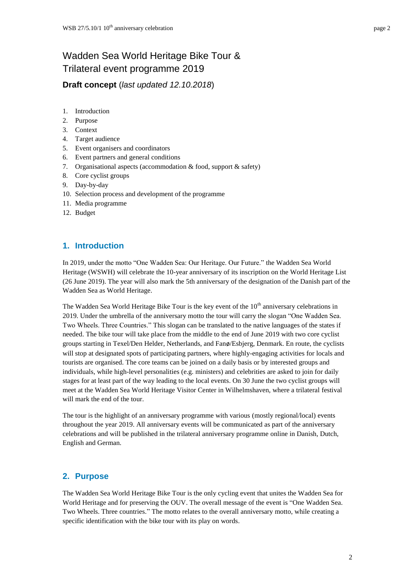# Wadden Sea World Heritage Bike Tour & Trilateral event programme 2019

**Draft concept** (*last updated 12.10.2018*)

- 1. Introduction
- 2. Purpose
- 3. Context
- 4. Target audience
- 5. Event organisers and coordinators
- 6. Event partners and general conditions
- 7. Organisational aspects (accommodation & food, support & safety)
- 8. Core cyclist groups
- 9. Day-by-day
- 10. Selection process and development of the programme
- 11. Media programme
- 12. Budget

## **1. Introduction**

In 2019, under the motto "One Wadden Sea: Our Heritage. Our Future." the Wadden Sea World Heritage (WSWH) will celebrate the 10-year anniversary of its inscription on the World Heritage List (26 June 2019). The year will also mark the 5th anniversary of the designation of the Danish part of the Wadden Sea as World Heritage.

The Wadden Sea World Heritage Bike Tour is the key event of the  $10<sup>th</sup>$  anniversary celebrations in 2019. Under the umbrella of the anniversary motto the tour will carry the slogan "One Wadden Sea. Two Wheels. Three Countries." This slogan can be translated to the native languages of the states if needed. The bike tour will take place from the middle to the end of June 2019 with two core cyclist groups starting in Texel/Den Helder, Netherlands, and Fanø/Esbjerg, Denmark. En route, the cyclists will stop at designated spots of participating partners, where highly-engaging activities for locals and tourists are organised. The core teams can be joined on a daily basis or by interested groups and individuals, while high-level personalities (e.g. ministers) and celebrities are asked to join for daily stages for at least part of the way leading to the local events. On 30 June the two cyclist groups will meet at the Wadden Sea World Heritage Visitor Center in Wilhelmshaven, where a trilateral festival will mark the end of the tour.

The tour is the highlight of an anniversary programme with various (mostly regional/local) events throughout the year 2019. All anniversary events will be communicated as part of the anniversary celebrations and will be published in the trilateral anniversary programme online in Danish, Dutch, English and German.

# **2. Purpose**

The Wadden Sea World Heritage Bike Tour is the only cycling event that unites the Wadden Sea for World Heritage and for preserving the OUV. The overall message of the event is "One Wadden Sea. Two Wheels. Three countries." The motto relates to the overall anniversary motto, while creating a specific identification with the bike tour with its play on words.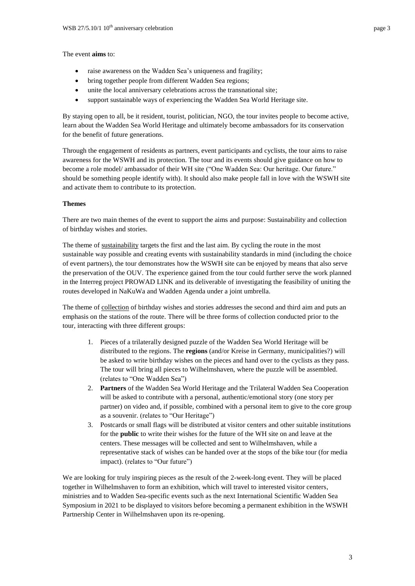The event **aims** to:

- raise awareness on the Wadden Sea's uniqueness and fragility;
- bring together people from different Wadden Sea regions;
- unite the local anniversary celebrations across the transnational site;
- support sustainable ways of experiencing the Wadden Sea World Heritage site.

By staying open to all, be it resident, tourist, politician, NGO, the tour invites people to become active, learn about the Wadden Sea World Heritage and ultimately become ambassadors for its conservation for the benefit of future generations.

Through the engagement of residents as partners, event participants and cyclists, the tour aims to raise awareness for the WSWH and its protection. The tour and its events should give guidance on how to become a role model/ ambassador of their WH site ("One Wadden Sea: Our heritage. Our future." should be something people identify with). It should also make people fall in love with the WSWH site and activate them to contribute to its protection.

#### **Themes**

There are two main themes of the event to support the aims and purpose: Sustainability and collection of birthday wishes and stories.

The theme of sustainability targets the first and the last aim. By cycling the route in the most sustainable way possible and creating events with sustainability standards in mind (including the choice of event partners), the tour demonstrates how the WSWH site can be enjoyed by means that also serve the preservation of the OUV. The experience gained from the tour could further serve the work planned in the Interreg project PROWAD LINK and its deliverable of investigating the feasibility of uniting the routes developed in NaKuWa and Wadden Agenda under a joint umbrella.

The theme of collection of birthday wishes and stories addresses the second and third aim and puts an emphasis on the stations of the route. There will be three forms of collection conducted prior to the tour, interacting with three different groups:

- 1. Pieces of a trilaterally designed puzzle of the Wadden Sea World Heritage will be distributed to the regions. The **regions** (and/or Kreise in Germany, municipalities?) will be asked to write birthday wishes on the pieces and hand over to the cyclists as they pass. The tour will bring all pieces to Wilhelmshaven, where the puzzle will be assembled. (relates to "One Wadden Sea")
- 2. **Partners** of the Wadden Sea World Heritage and the Trilateral Wadden Sea Cooperation will be asked to contribute with a personal, authentic/emotional story (one story per partner) on video and, if possible, combined with a personal item to give to the core group as a souvenir. (relates to "Our Heritage")
- 3. Postcards or small flags will be distributed at visitor centers and other suitable institutions for the **public** to write their wishes for the future of the WH site on and leave at the centers. These messages will be collected and sent to Wilhelmshaven, while a representative stack of wishes can be handed over at the stops of the bike tour (for media impact). (relates to "Our future")

We are looking for truly inspiring pieces as the result of the 2-week-long event. They will be placed together in Wilhelmshaven to form an exhibition, which will travel to interested visitor centers, ministries and to Wadden Sea-specific events such as the next International Scientific Wadden Sea Symposium in 2021 to be displayed to visitors before becoming a permanent exhibition in the WSWH Partnership Center in Wilhelmshaven upon its re-opening.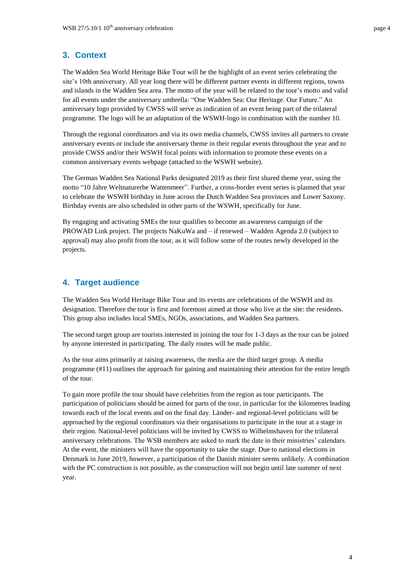# **3. Context**

The Wadden Sea World Heritage Bike Tour will be the highlight of an event series celebrating the site's 10th anniversary. All year long there will be different partner events in different regions, towns and islands in the Wadden Sea area. The motto of the year will be related to the tour's motto and valid for all events under the anniversary umbrella: "One Wadden Sea: Our Heritage. Our Future." An anniversary logo provided by CWSS will serve as indication of an event being part of the trilateral programme. The logo will be an adaptation of the WSWH-logo in combination with the number 10.

Through the regional coordinators and via its own media channels, CWSS invites all partners to create anniversary events or include the anniversary theme in their regular events throughout the year and to provide CWSS and/or their WSWH focal points with information to promote these events on a common anniversary events webpage (attached to the WSWH website).

The German Wadden Sea National Parks designated 2019 as their first shared theme year, using the motto "10 Jahre Weltnaturerbe Wattenmeer". Further, a cross-border event series is planned that year to celebrate the WSWH birthday in June across the Dutch Wadden Sea provinces and Lower Saxony. Birthday events are also scheduled in other parts of the WSWH, specifically for June.

By engaging and activating SMEs the tour qualifies to become an awareness campaign of the PROWAD Link project. The projects NaKuWa and – if renewed – Wadden Agenda 2.0 (subject to approval) may also profit from the tour, as it will follow some of the routes newly developed in the projects.

## **4. Target audience**

The Wadden Sea World Heritage Bike Tour and its events are celebrations of the WSWH and its designation. Therefore the tour is first and foremost aimed at those who live at the site: the residents. This group also includes local SMEs, NGOs, associations, and Wadden Sea partners.

The second target group are tourists interested in joining the tour for 1-3 days as the tour can be joined by anyone interested in participating. The daily routes will be made public.

As the tour aims primarily at raising awareness, the media are the third target group. A media programme (#11) outlines the approach for gaining and maintaining their attention for the entire length of the tour.

To gain more profile the tour should have celebrities from the region as tour participants. The participation of politicians should be aimed for parts of the tour, in particular for the kilometres leading towards each of the local events and on the final day. Länder- and regional-level politicians will be approached by the regional coordinators via their organisations to participate in the tour at a stage in their region. National-level politicians will be invited by CWSS to Wilhelmshaven for the trilateral anniversary celebrations. The WSB members are asked to mark the date in their ministries' calendars. At the event, the ministers will have the opportunity to take the stage. Due to national elections in Denmark in June 2019, however, a participation of the Danish minister seems unlikely. A combination with the PC construction is not possible, as the construction will not begin until late summer of next year.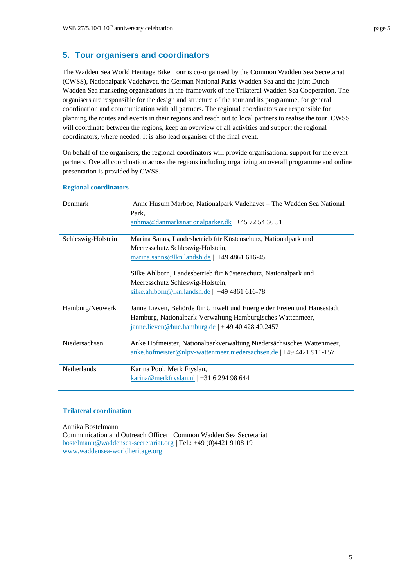The Wadden Sea World Heritage Bike Tour is co-organised by the Common Wadden Sea Secretariat (CWSS), Nationalpark Vadehavet, the German National Parks Wadden Sea and the joint Dutch Wadden Sea marketing organisations in the framework of the Trilateral Wadden Sea Cooperation. The organisers are responsible for the design and structure of the tour and its programme, for general coordination and communication with all partners. The regional coordinators are responsible for planning the routes and events in their regions and reach out to local partners to realise the tour. CWSS will coordinate between the regions, keep an overview of all activities and support the regional coordinators, where needed. It is also lead organiser of the final event.

On behalf of the organisers, the regional coordinators will provide organisational support for the event partners. Overall coordination across the regions including organizing an overall programme and online presentation is provided by CWSS.

| Denmark            | Anne Husum Marboe, Nationalpark Vadehavet - The Wadden Sea National                                                                          |
|--------------------|----------------------------------------------------------------------------------------------------------------------------------------------|
|                    | Park,                                                                                                                                        |
|                    | anhma@danmarksnationalparker.dk   +45 72 54 36 51                                                                                            |
|                    |                                                                                                                                              |
| Schleswig-Holstein | Marina Sanns, Landesbetrieb für Küstenschutz, Nationalpark und                                                                               |
|                    | Meeresschutz Schleswig-Holstein,                                                                                                             |
|                    | $\frac{\text{marina.sanns@lkn.landsh.de}}{49486161645}$                                                                                      |
|                    | Silke Ahlborn, Landesbetrieb für Küstenschutz, Nationalpark und                                                                              |
|                    | Meeresschutz Schleswig-Holstein,                                                                                                             |
|                    | silke.ahlborn@lkn.landsh.de   +49 4861 616-78                                                                                                |
| Hamburg/Neuwerk    | Janne Lieven, Behörde für Umwelt und Energie der Freien und Hansestadt                                                                       |
|                    | Hamburg, Nationalpark-Verwaltung Hamburgisches Wattenmeer,                                                                                   |
|                    | janne.lieven@bue.hamburg.de   + 49 40 428.40.2457                                                                                            |
| Niedersachsen      | Anke Hofmeister, Nationalparkverwaltung Niedersächsisches Wattenmeer,<br>anke.hofmeister@nlpv-wattenmeer.niedersachsen.de   +49 4421 911-157 |
|                    |                                                                                                                                              |
| Netherlands        | Karina Pool, Merk Fryslan,                                                                                                                   |
|                    | $\frac{\text{karina} \omega \text{merkfryslan.nl}}{4}$ + 31 6 294 98 644                                                                     |

#### **Regional coordinators**

#### **Trilateral coordination**

Annika Bostelmann

Communication and Outreach Officer | Common Wadden Sea Secretariat bostelmann@waddensea-secretariat.org | Tel.: +49 (0)4421 9108 19 [www.waddensea-worldheritage.org](http://www.waddensea-worldheritage.org/)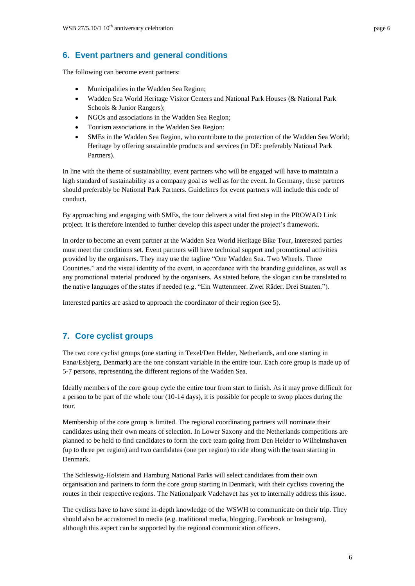# **6. Event partners and general conditions**

The following can become event partners:

- Municipalities in the Wadden Sea Region;
- Wadden Sea World Heritage Visitor Centers and National Park Houses (& National Park Schools & Junior Rangers);
- NGOs and associations in the Wadden Sea Region;
- Tourism associations in the Wadden Sea Region;
- SMEs in the Wadden Sea Region, who contribute to the protection of the Wadden Sea World; Heritage by offering sustainable products and services (in DE: preferably National Park Partners).

In line with the theme of sustainability, event partners who will be engaged will have to maintain a high standard of sustainability as a company goal as well as for the event. In Germany, these partners should preferably be National Park Partners. Guidelines for event partners will include this code of conduct.

By approaching and engaging with SMEs, the tour delivers a vital first step in the PROWAD Link project. It is therefore intended to further develop this aspect under the project's framework.

In order to become an event partner at the Wadden Sea World Heritage Bike Tour, interested parties must meet the conditions set. Event partners will have technical support and promotional activities provided by the organisers. They may use the tagline "One Wadden Sea. Two Wheels. Three Countries." and the visual identity of the event, in accordance with the branding guidelines, as well as any promotional material produced by the organisers. As stated before, the slogan can be translated to the native languages of the states if needed (e.g. "Ein Wattenmeer. Zwei Räder. Drei Staaten.").

Interested parties are asked to approach the coordinator of their region (see 5).

# **7. Core cyclist groups**

The two core cyclist groups (one starting in Texel/Den Helder, Netherlands, and one starting in Fanø/Esbjerg, Denmark) are the one constant variable in the entire tour. Each core group is made up of 5-7 persons, representing the different regions of the Wadden Sea.

Ideally members of the core group cycle the entire tour from start to finish. As it may prove difficult for a person to be part of the whole tour (10-14 days), it is possible for people to swop places during the tour.

Membership of the core group is limited. The regional coordinating partners will nominate their candidates using their own means of selection. In Lower Saxony and the Netherlands competitions are planned to be held to find candidates to form the core team going from Den Helder to Wilhelmshaven (up to three per region) and two candidates (one per region) to ride along with the team starting in Denmark.

The Schleswig-Holstein and Hamburg National Parks will select candidates from their own organisation and partners to form the core group starting in Denmark, with their cyclists covering the routes in their respective regions. The Nationalpark Vadehavet has yet to internally address this issue.

The cyclists have to have some in-depth knowledge of the WSWH to communicate on their trip. They should also be accustomed to media (e.g. traditional media, blogging, Facebook or Instagram), although this aspect can be supported by the regional communication officers.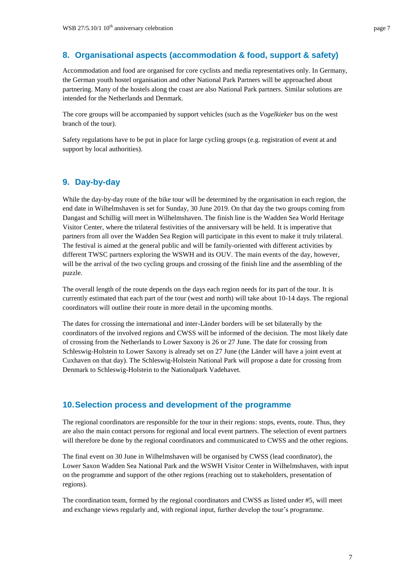### **8. Organisational aspects (accommodation & food, support & safety)**

Accommodation and food are organised for core cyclists and media representatives only. In Germany, the German youth hostel organisation and other National Park Partners will be approached about partnering. Many of the hostels along the coast are also National Park partners. Similar solutions are intended for the Netherlands and Denmark.

The core groups will be accompanied by support vehicles (such as the *Vogelkieker* bus on the west branch of the tour).

Safety regulations have to be put in place for large cycling groups (e.g. registration of event at and support by local authorities).

### **9. Day-by-day**

While the day-by-day route of the bike tour will be determined by the organisation in each region, the end date in Wilhelmshaven is set for Sunday, 30 June 2019. On that day the two groups coming from Dangast and Schillig will meet in Wilhelmshaven. The finish line is the Wadden Sea World Heritage Visitor Center, where the trilateral festivities of the anniversary will be held. It is imperative that partners from all over the Wadden Sea Region will participate in this event to make it truly trilateral. The festival is aimed at the general public and will be family-oriented with different activities by different TWSC partners exploring the WSWH and its OUV. The main events of the day, however, will be the arrival of the two cycling groups and crossing of the finish line and the assembling of the puzzle.

The overall length of the route depends on the days each region needs for its part of the tour. It is currently estimated that each part of the tour (west and north) will take about 10-14 days. The regional coordinators will outline their route in more detail in the upcoming months.

The dates for crossing the international and inter-Länder borders will be set bilaterally by the coordinators of the involved regions and CWSS will be informed of the decision. The most likely date of crossing from the Netherlands to Lower Saxony is 26 or 27 June. The date for crossing from Schleswig-Holstein to Lower Saxony is already set on 27 June (the Länder will have a joint event at Cuxhaven on that day). The Schleswig-Holstein National Park will propose a date for crossing from Denmark to Schleswig-Holstein to the Nationalpark Vadehavet.

#### **10.Selection process and development of the programme**

The regional coordinators are responsible for the tour in their regions: stops, events, route. Thus, they are also the main contact persons for regional and local event partners. The selection of event partners will therefore be done by the regional coordinators and communicated to CWSS and the other regions.

The final event on 30 June in Wilhelmshaven will be organised by CWSS (lead coordinator), the Lower Saxon Wadden Sea National Park and the WSWH Visitor Center in Wilhelmshaven, with input on the programme and support of the other regions (reaching out to stakeholders, presentation of regions).

The coordination team, formed by the regional coordinators and CWSS as listed under #5, will meet and exchange views regularly and, with regional input, further develop the tour's programme.